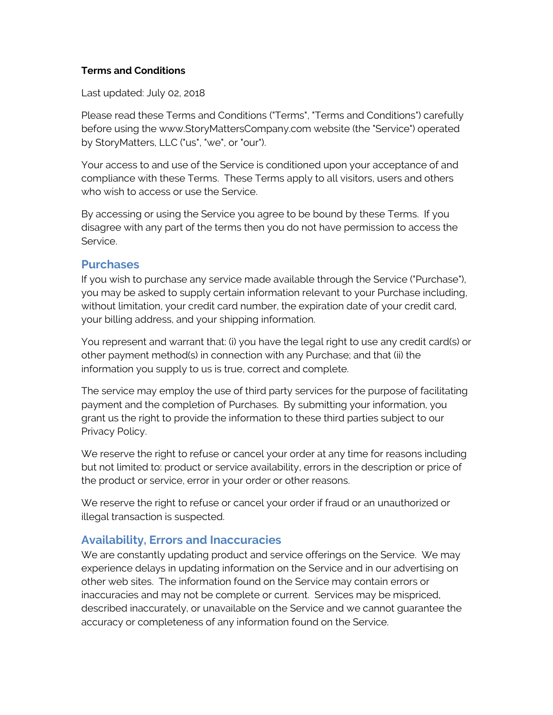#### **Terms and Conditions**

Last updated: July 02, 2018

Please read these Terms and Conditions ("Terms", "Terms and Conditions") carefully before using the www.StoryMattersCompany.com website (the "Service") operated by StoryMatters, LLC ("us", "we", or "our").

Your access to and use of the Service is conditioned upon your acceptance of and compliance with these Terms. These Terms apply to all visitors, users and others who wish to access or use the Service.

By accessing or using the Service you agree to be bound by these Terms. If you disagree with any part of the terms then you do not have permission to access the Service.

#### **Purchases**

If you wish to purchase any service made available through the Service ("Purchase"), you may be asked to supply certain information relevant to your Purchase including, without limitation, your credit card number, the expiration date of your credit card, your billing address, and your shipping information.

You represent and warrant that: (i) you have the legal right to use any credit card(s) or other payment method(s) in connection with any Purchase; and that (ii) the information you supply to us is true, correct and complete.

The service may employ the use of third party services for the purpose of facilitating payment and the completion of Purchases. By submitting your information, you grant us the right to provide the information to these third parties subject to our Privacy Policy.

We reserve the right to refuse or cancel your order at any time for reasons including but not limited to: product or service availability, errors in the description or price of the product or service, error in your order or other reasons.

We reserve the right to refuse or cancel your order if fraud or an unauthorized or illegal transaction is suspected.

#### **Availability, Errors and Inaccuracies**

We are constantly updating product and service offerings on the Service. We may experience delays in updating information on the Service and in our advertising on other web sites. The information found on the Service may contain errors or inaccuracies and may not be complete or current. Services may be mispriced, described inaccurately, or unavailable on the Service and we cannot guarantee the accuracy or completeness of any information found on the Service.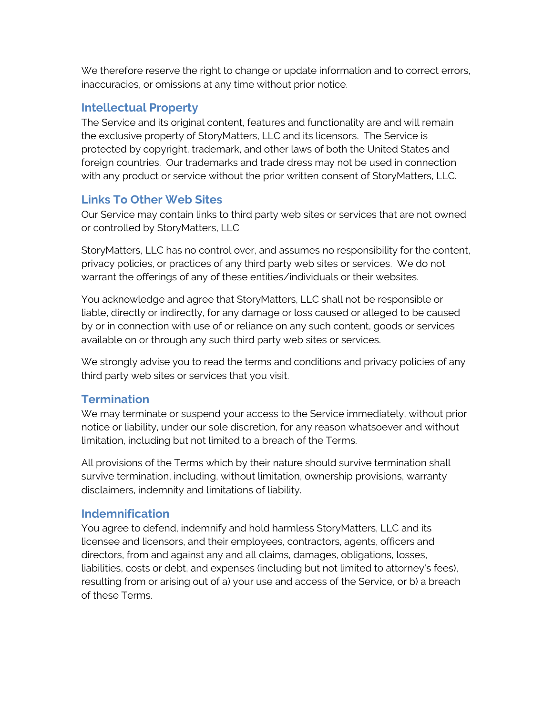We therefore reserve the right to change or update information and to correct errors, inaccuracies, or omissions at any time without prior notice.

### **Intellectual Property**

The Service and its original content, features and functionality are and will remain the exclusive property of StoryMatters, LLC and its licensors. The Service is protected by copyright, trademark, and other laws of both the United States and foreign countries. Our trademarks and trade dress may not be used in connection with any product or service without the prior written consent of StoryMatters, LLC.

## **Links To Other Web Sites**

Our Service may contain links to third party web sites or services that are not owned or controlled by StoryMatters, LLC

StoryMatters, LLC has no control over, and assumes no responsibility for the content, privacy policies, or practices of any third party web sites or services. We do not warrant the offerings of any of these entities/individuals or their websites.

You acknowledge and agree that StoryMatters, LLC shall not be responsible or liable, directly or indirectly, for any damage or loss caused or alleged to be caused by or in connection with use of or reliance on any such content, goods or services available on or through any such third party web sites or services.

We strongly advise you to read the terms and conditions and privacy policies of any third party web sites or services that you visit.

### **Termination**

We may terminate or suspend your access to the Service immediately, without prior notice or liability, under our sole discretion, for any reason whatsoever and without limitation, including but not limited to a breach of the Terms.

All provisions of the Terms which by their nature should survive termination shall survive termination, including, without limitation, ownership provisions, warranty disclaimers, indemnity and limitations of liability.

### **Indemnification**

You agree to defend, indemnify and hold harmless StoryMatters, LLC and its licensee and licensors, and their employees, contractors, agents, officers and directors, from and against any and all claims, damages, obligations, losses, liabilities, costs or debt, and expenses (including but not limited to attorney's fees), resulting from or arising out of a) your use and access of the Service, or b) a breach of these Terms.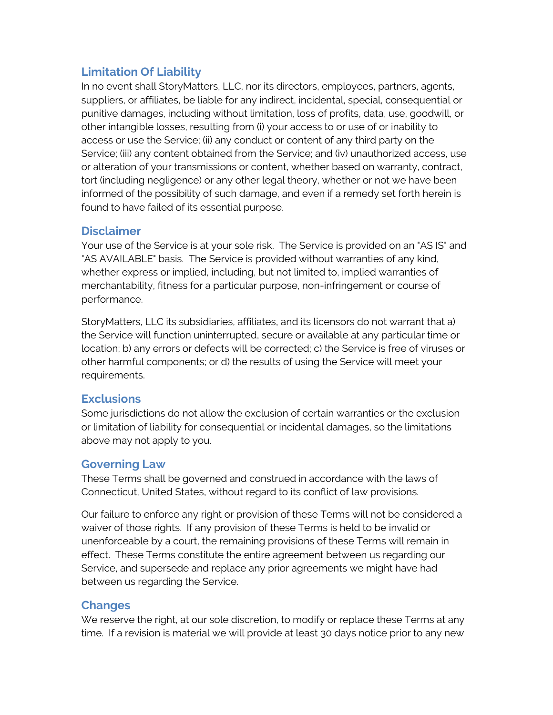### **Limitation Of Liability**

In no event shall StoryMatters, LLC, nor its directors, employees, partners, agents, suppliers, or affiliates, be liable for any indirect, incidental, special, consequential or punitive damages, including without limitation, loss of profits, data, use, goodwill, or other intangible losses, resulting from (i) your access to or use of or inability to access or use the Service; (ii) any conduct or content of any third party on the Service; (iii) any content obtained from the Service; and (iv) unauthorized access, use or alteration of your transmissions or content, whether based on warranty, contract, tort (including negligence) or any other legal theory, whether or not we have been informed of the possibility of such damage, and even if a remedy set forth herein is found to have failed of its essential purpose.

#### **Disclaimer**

Your use of the Service is at your sole risk. The Service is provided on an "AS IS" and "AS AVAILABLE" basis. The Service is provided without warranties of any kind, whether express or implied, including, but not limited to, implied warranties of merchantability, fitness for a particular purpose, non-infringement or course of performance.

StoryMatters, LLC its subsidiaries, affiliates, and its licensors do not warrant that a) the Service will function uninterrupted, secure or available at any particular time or location; b) any errors or defects will be corrected; c) the Service is free of viruses or other harmful components; or d) the results of using the Service will meet your requirements.

### **Exclusions**

Some jurisdictions do not allow the exclusion of certain warranties or the exclusion or limitation of liability for consequential or incidental damages, so the limitations above may not apply to you.

### **Governing Law**

These Terms shall be governed and construed in accordance with the laws of Connecticut, United States, without regard to its conflict of law provisions.

Our failure to enforce any right or provision of these Terms will not be considered a waiver of those rights. If any provision of these Terms is held to be invalid or unenforceable by a court, the remaining provisions of these Terms will remain in effect. These Terms constitute the entire agreement between us regarding our Service, and supersede and replace any prior agreements we might have had between us regarding the Service.

# **Changes**

We reserve the right, at our sole discretion, to modify or replace these Terms at any time. If a revision is material we will provide at least 30 days notice prior to any new